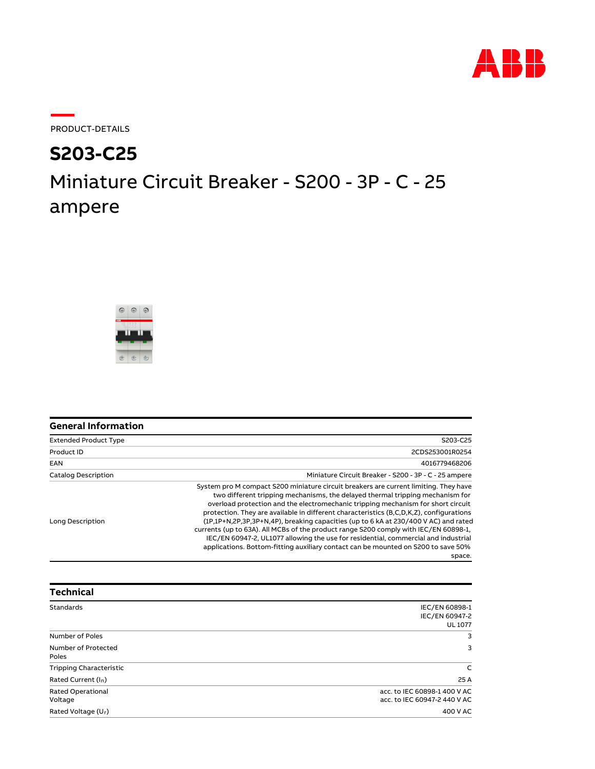

PRODUCT-DETAILS

## Miniature Circuit Breaker - S200 - 3P - C - 25 ampere **S203-C25**



| <b>General Information</b>   |                                                                                                                                                                                                                                                                                                                                                                                                                                                                                                                                                                                                                                                                                                                          |
|------------------------------|--------------------------------------------------------------------------------------------------------------------------------------------------------------------------------------------------------------------------------------------------------------------------------------------------------------------------------------------------------------------------------------------------------------------------------------------------------------------------------------------------------------------------------------------------------------------------------------------------------------------------------------------------------------------------------------------------------------------------|
| <b>Extended Product Type</b> | S203-C25                                                                                                                                                                                                                                                                                                                                                                                                                                                                                                                                                                                                                                                                                                                 |
| Product ID                   | 2CDS253001R0254                                                                                                                                                                                                                                                                                                                                                                                                                                                                                                                                                                                                                                                                                                          |
| <b>EAN</b>                   | 4016779468206                                                                                                                                                                                                                                                                                                                                                                                                                                                                                                                                                                                                                                                                                                            |
| <b>Catalog Description</b>   | Miniature Circuit Breaker - S200 - 3P - C - 25 ampere                                                                                                                                                                                                                                                                                                                                                                                                                                                                                                                                                                                                                                                                    |
| Long Description             | System pro M compact S200 miniature circuit breakers are current limiting. They have<br>two different tripping mechanisms, the delayed thermal tripping mechanism for<br>overload protection and the electromechanic tripping mechanism for short circuit<br>protection. They are available in different characteristics (B,C,D,K,Z), configurations<br>(1P,1P+N,2P,3P,3P+N,4P), breaking capacities (up to 6 kA at 230/400 V AC) and rated<br>currents (up to 63A). All MCBs of the product range S200 comply with IEC/EN 60898-1.<br>IEC/EN 60947-2, UL1077 allowing the use for residential, commercial and industrial<br>applications. Bottom-fitting auxiliary contact can be mounted on S200 to save 50%<br>space. |

| <b>Technical</b>                |                              |
|---------------------------------|------------------------------|
| Standards                       | IEC/EN 60898-1               |
|                                 | IEC/EN 60947-2               |
|                                 | <b>UL 1077</b>               |
| Number of Poles                 | 3                            |
| Number of Protected             | 3                            |
| Poles                           |                              |
| <b>Tripping Characteristic</b>  | C                            |
| Rated Current (I <sub>n</sub> ) | 25 A                         |
| <b>Rated Operational</b>        | acc. to IEC 60898-1 400 V AC |
| Voltage                         | acc. to IEC 60947-2 440 V AC |
| Rated Voltage (U <sub>r</sub> ) | 400 V AC                     |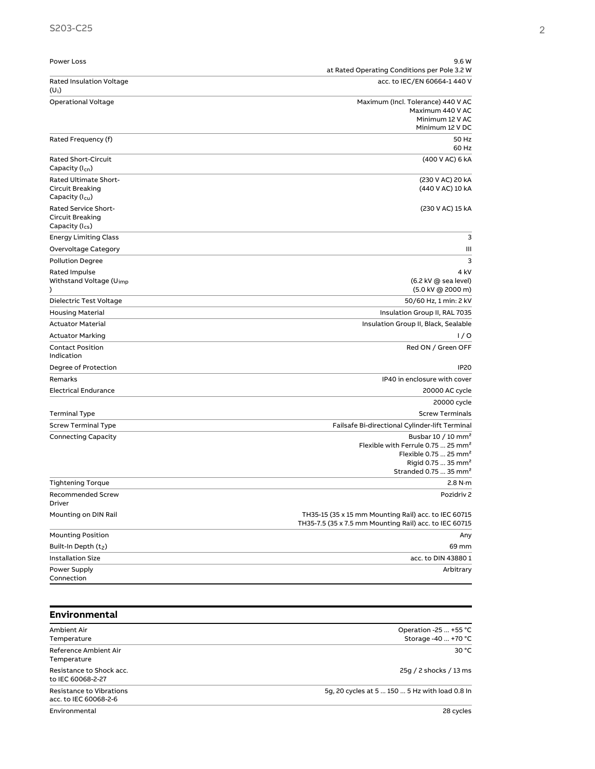| Power Loss                                        | 9.6 W                                                                                                          |
|---------------------------------------------------|----------------------------------------------------------------------------------------------------------------|
|                                                   | at Rated Operating Conditions per Pole 3.2 W                                                                   |
| <b>Rated Insulation Voltage</b><br>$(U_i)$        | acc. to IEC/EN 60664-1 440 V                                                                                   |
| <b>Operational Voltage</b>                        | Maximum (Incl. Tolerance) 440 V AC                                                                             |
|                                                   | Maximum 440 V AC<br>Minimum 12 V AC                                                                            |
|                                                   | Minimum 12 V DC                                                                                                |
| Rated Frequency (f)                               | 50 Hz                                                                                                          |
|                                                   | 60 Hz                                                                                                          |
| <b>Rated Short-Circuit</b><br>Capacity $(l_{cn})$ | (400 V AC) 6 kA                                                                                                |
| Rated Ultimate Short-                             | (230 V AC) 20 kA                                                                                               |
| Circuit Breaking                                  | (440 V AC) 10 kA                                                                                               |
| Capacity (I <sub>cu</sub> )                       |                                                                                                                |
| <b>Rated Service Short-</b><br>Circuit Breaking   | (230 V AC) 15 kA                                                                                               |
| Capacity (I <sub>cs</sub> )                       |                                                                                                                |
| <b>Energy Limiting Class</b>                      | 3                                                                                                              |
| Overvoltage Category                              | Ш                                                                                                              |
| <b>Pollution Degree</b>                           | 3                                                                                                              |
| Rated Impulse                                     | 4 kV                                                                                                           |
| Withstand Voltage (U <sub>imp</sub>               | (6.2 kV @ sea level)                                                                                           |
| ⟩                                                 | (5.0 kV @ 2000 m)                                                                                              |
| Dielectric Test Voltage                           | 50/60 Hz, 1 min: 2 kV                                                                                          |
| <b>Housing Material</b>                           | Insulation Group II, RAL 7035                                                                                  |
| <b>Actuator Material</b>                          | Insulation Group II, Black, Sealable                                                                           |
| <b>Actuator Marking</b>                           | 1/0                                                                                                            |
| <b>Contact Position</b><br>Indication             | Red ON / Green OFF                                                                                             |
| Degree of Protection                              | <b>IP20</b>                                                                                                    |
| Remarks                                           | IP40 in enclosure with cover                                                                                   |
| <b>Electrical Endurance</b>                       | 20000 AC cycle                                                                                                 |
|                                                   | 20000 cycle                                                                                                    |
| Terminal Type                                     | <b>Screw Terminals</b>                                                                                         |
| <b>Screw Terminal Type</b>                        | Failsafe Bi-directional Cylinder-lift Terminal                                                                 |
| <b>Connecting Capacity</b>                        | Busbar 10 / 10 mm <sup>2</sup>                                                                                 |
|                                                   | Flexible with Ferrule 0.75  25 mm <sup>2</sup><br>Flexible 0.75  25 mm <sup>2</sup>                            |
|                                                   | Rigid 0.75  35 mm <sup>2</sup>                                                                                 |
|                                                   | Stranded 0.75  35 mm <sup>2</sup>                                                                              |
| <b>Tightening Torque</b>                          | 2.8 N·m                                                                                                        |
| <b>Recommended Screw</b><br>Driver                | Pozidriv <sub>2</sub>                                                                                          |
| Mounting on DIN Rail                              | TH35-15 (35 x 15 mm Mounting Rail) acc. to IEC 60715<br>TH35-7.5 (35 x 7.5 mm Mounting Rail) acc. to IEC 60715 |
| <b>Mounting Position</b>                          | Any                                                                                                            |
| Built-In Depth (t2)                               | 69 mm                                                                                                          |
| <b>Installation Size</b>                          | acc. to DIN 43880 1                                                                                            |
| Power Supply                                      | Arbitrary                                                                                                      |
| Connection                                        |                                                                                                                |
|                                                   |                                                                                                                |
|                                                   |                                                                                                                |
| Environmental                                     |                                                                                                                |

| Operation -25 $\dots$ +55 °C                   |
|------------------------------------------------|
| Storage -40  +70 °C                            |
| 30 °C                                          |
|                                                |
| 25g / 2 shocks / 13 ms                         |
|                                                |
| 5q, 20 cycles at 5  150  5 Hz with load 0.8 In |
|                                                |
| 28 cycles                                      |
|                                                |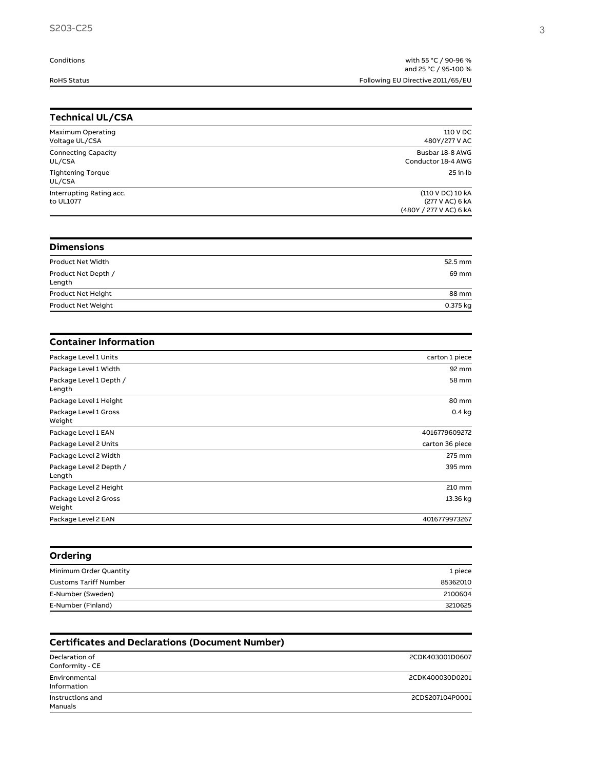## Conditions

with 55 °C / 90-96 %
and 25 °C / 95-100 % RoHS Status Following EU Directive 2011/65/EU

| <b>Technical UL/CSA</b>               |                                                               |
|---------------------------------------|---------------------------------------------------------------|
| Maximum Operating<br>Voltage UL/CSA   | 110 V DC<br>480Y/277 V AC                                     |
| <b>Connecting Capacity</b><br>UL/CSA  | Busbar 18-8 AWG<br>Conductor 18-4 AWG                         |
| <b>Tightening Torque</b><br>UL/CSA    | $25$ in $Ib$                                                  |
| Interrupting Rating acc.<br>to UL1077 | (110 V DC) 10 kA<br>(277 V AC) 6 kA<br>(480Y / 277 V AC) 6 kA |
| <b>Dimensions</b>                     |                                                               |
| <b>Product Net Width</b>              | 52.5 mm                                                       |
| Product Net Depth /<br>Length         | 69 mm                                                         |
| Product Net Height                    | 88 mm                                                         |
| Product Net Weight                    | 0.375 kg                                                      |
| <b>Container Information</b>          |                                                               |
| Package Level 1 Units                 | carton 1 piece                                                |
| Package Level 1 Width                 | 92 mm                                                         |
| Package Level 1 Depth /<br>Length     | 58 mm                                                         |
|                                       |                                                               |
| Package Level 1 Height                | 80 mm                                                         |
| Package Level 1 Gross<br>Weight       | $0.4$ kg                                                      |
| Package Level 1 EAN                   | 4016779609272                                                 |
| Package Level 2 Units                 | carton 36 piece                                               |
| Package Level 2 Width                 | 275 mm                                                        |
| Package Level 2 Depth /<br>Length     | 395 mm                                                        |
| Package Level 2 Height                | 210 mm                                                        |
| Package Level 2 Gross<br>Weight       | 13.36 kg                                                      |

| Minimum Order Quantity       | 1 piece  |
|------------------------------|----------|
| <b>Customs Tariff Number</b> | 85362010 |
| E-Number (Sweden)            | 2100604  |
| E-Number (Finland)           | 3210625  |
|                              |          |

| <b>Certificates and Declarations (Document Number)</b> |                 |
|--------------------------------------------------------|-----------------|
| Declaration of<br>Conformity - CE                      | 2CDK403001D0607 |
| Environmental<br>Information                           | 2CDK400030D0201 |
| Instructions and<br>Manuals                            | 2CDS207104P0001 |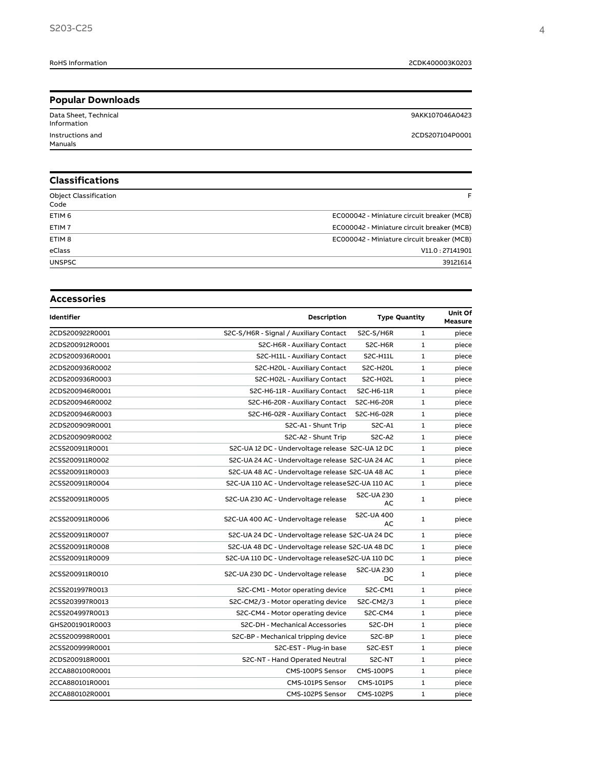| <b>Popular Downloads</b>             |                 |
|--------------------------------------|-----------------|
| Data Sheet, Technical<br>Information | 9AKK107046A0423 |
| Instructions and<br>Manuals          | 2CDS207104P0001 |
|                                      |                 |

| <b>Classifications</b>               |                                            |
|--------------------------------------|--------------------------------------------|
| <b>Object Classification</b><br>Code | F                                          |
| ETIM <sub>6</sub>                    | EC000042 - Miniature circuit breaker (MCB) |
| ETIM <sub>7</sub>                    | EC000042 - Miniature circuit breaker (MCB) |
| ETIM <sub>8</sub>                    | EC000042 - Miniature circuit breaker (MCB) |
| eClass                               | V11.0:27141901                             |
| <b>UNSPSC</b>                        | 39121614                                   |

| <b>Accessories</b> |                                                    |                                                   |                      |                           |
|--------------------|----------------------------------------------------|---------------------------------------------------|----------------------|---------------------------|
| Identifier         | Description                                        |                                                   | <b>Type Quantity</b> | Unit Of<br><b>Measure</b> |
| 2CDS200922R0001    | S2C-S/H6R - Signal / Auxiliary Contact             | S2C-S/H6R                                         | $\mathbf{1}$         | piece                     |
| 2CDS200912R0001    | S2C-H6R - Auxiliary Contact                        | S2C-H6R                                           | 1                    | piece                     |
| 2CDS200936R0001    | S2C-H11L - Auxiliary Contact                       | <b>S2C-H11L</b>                                   | $\mathbf{1}$         | piece                     |
| 2CDS200936R0002    | S2C-H20L - Auxiliary Contact                       | S2C-H20L                                          | $\mathbf{1}$         | piece                     |
| 2CDS200936R0003    | S2C-H02L - Auxiliary Contact                       | S2C-H02L                                          | $\mathbf{1}$         | piece                     |
| 2CDS200946R0001    | S2C-H6-11R - Auxiliary Contact                     | S2C-H6-11R                                        | 1                    | piece                     |
| 2CDS200946R0002    | S2C-H6-20R - Auxiliary Contact                     | S2C-H6-20R                                        | 1                    | piece                     |
| 2CDS200946R0003    | S2C-H6-02R - Auxiliary Contact                     | S2C-H6-02R                                        | 1                    | piece                     |
| 2CDS200909R0001    | S2C-A1 - Shunt Trip                                | S2C-A1                                            | 1                    | piece                     |
| 2CDS200909R0002    | S2C-A2 - Shunt Trip                                | <b>S2C-A2</b>                                     | $\mathbf{1}$         | piece                     |
| 2CSS200911R0001    | S2C-UA 12 DC - Undervoltage release S2C-UA 12 DC   |                                                   | $\mathbf{1}$         | piece                     |
| 2CSS200911R0002    | S2C-UA 24 AC - Undervoltage release S2C-UA 24 AC   |                                                   | $\mathbf{1}$         | piece                     |
| 2CSS200911R0003    | S2C-UA 48 AC - Undervoltage release S2C-UA 48 AC   |                                                   | $\mathbf{1}$         | piece                     |
| 2CSS200911R0004    | S2C-UA 110 AC - Undervoltage release S2C-UA 110 AC |                                                   | 1                    | piece                     |
| 2CSS200911R0005    | S2C-UA 230 AC - Undervoltage release               | S2C-UA 230<br>AC                                  | 1                    | piece                     |
| 2CSS200911R0006    | S2C-UA 400 AC - Undervoltage release               | <b>S2C-UA 400</b><br>AC                           | 1                    | piece                     |
| 2CSS200911R0007    | S2C-UA 24 DC - Undervoltage release S2C-UA 24 DC   |                                                   | $\mathbf{1}$         | piece                     |
| 2CSS200911R0008    |                                                    | S2C-UA 48 DC - Undervoltage release S2C-UA 48 DC  |                      | piece                     |
| 2CSS200911R0009    |                                                    | S2C-UA 110 DC - Undervoltage releaseS2C-UA 110 DC |                      | piece                     |
| 2CSS200911R0010    | S2C-UA 230 DC - Undervoltage release               | S2C-UA 230<br>DC                                  | 1                    | piece                     |
| 2CSS201997R0013    | S2C-CM1 - Motor operating device                   | S2C-CM1                                           | $\mathbf{1}$         | piece                     |
| 2CSS203997R0013    | S2C-CM2/3 - Motor operating device                 | S2C-CM2/3                                         | $\mathbf{1}$         | piece                     |
| 2CSS204997R0013    | S2C-CM4 - Motor operating device                   | S <sub>2</sub> C-CM <sub>4</sub>                  | 1                    | piece                     |
| GHS2001901R0003    | S2C-DH - Mechanical Accessories                    | S2C-DH                                            | $\mathbf{1}$         | piece                     |
| 2CSS200998R0001    | S2C-BP - Mechanical tripping device                | S2C-BP                                            | $\mathbf{1}$         | piece                     |
| 2CSS200999R0001    | S2C-EST - Plug-in base                             | S2C-EST                                           | $\mathbf{1}$         | piece                     |
| 2CDS200918R0001    | S2C-NT - Hand Operated Neutral                     | S2C-NT                                            | 1                    | piece                     |
| 2CCA880100R0001    | CMS-100PS Sensor                                   | CMS-100PS                                         | 1                    | piece                     |
| 2CCA880101R0001    | CMS-101PS Sensor                                   | <b>CMS-101PS</b>                                  | 1                    | piece                     |
| 2CCA880102R0001    | CMS-102PS Sensor                                   | <b>CMS-102PS</b>                                  | 1                    | piece                     |